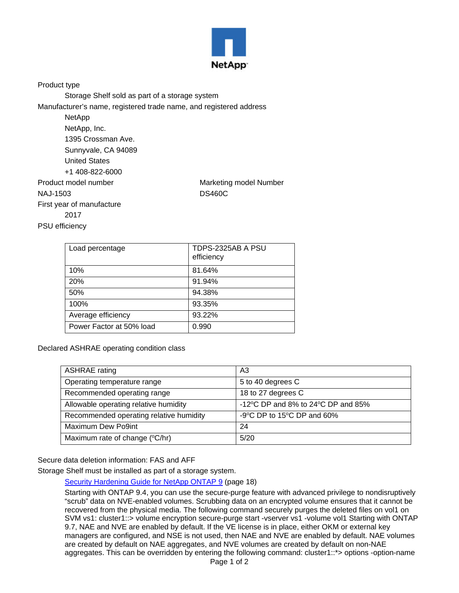

Product type

Storage Shelf sold as part of a storage system

Manufacturer's name, registered trade name, and registered address

| NetApp                    |                        |
|---------------------------|------------------------|
| NetApp, Inc.              |                        |
| 1395 Crossman Ave.        |                        |
| Sunnyvale, CA 94089       |                        |
| <b>United States</b>      |                        |
| +1 408-822-6000           |                        |
| Product model number      | Marketing model Number |
| NAJ-1503                  | <b>DS460C</b>          |
| First year of manufacture |                        |
| 2017                      |                        |
| <b>PSU</b> efficiency     |                        |

| Load percentage          | TDPS-2325AB A PSU<br>efficiency |
|--------------------------|---------------------------------|
| 10%                      | 81.64%                          |
| 20%                      | 91.94%                          |
| 50%                      | 94.38%                          |
| 100%                     | 93.35%                          |
| Average efficiency       | 93.22%                          |
| Power Factor at 50% load | 0.990                           |

Declared ASHRAE operating condition class

| <b>ASHRAE</b> rating                    | A3                                 |
|-----------------------------------------|------------------------------------|
| Operating temperature range             | 5 to 40 degrees C                  |
| Recommended operating range             | 18 to 27 degrees C                 |
| Allowable operating relative humidity   | -12°C DP and 8% to 24°C DP and 85% |
| Recommended operating relative humidity | -9°C DP to 15°C DP and 60%         |
| Maximum Dew Po9int                      | 24                                 |
| Maximum rate of change (°C/hr)          | 5/20                               |

Secure data deletion information: FAS and AFF

Storage Shelf must be installed as part of a storage system.

[Security Hardening Guide for NetApp ONTAP 9](https://www.netapp.com/us/media/tr-4569.pdf) (page 18)

Starting with ONTAP 9.4, you can use the secure-purge feature with advanced privilege to nondisruptively "scrub" data on NVE-enabled volumes. Scrubbing data on an encrypted volume ensures that it cannot be recovered from the physical media. The following command securely purges the deleted files on vol1 on SVM vs1: cluster1::> volume encryption secure-purge start -vserver vs1 -volume vol1 Starting with ONTAP 9.7, NAE and NVE are enabled by default. If the VE license is in place, either OKM or external key managers are configured, and NSE is not used, then NAE and NVE are enabled by default. NAE volumes are created by default on NAE aggregates, and NVE volumes are created by default on non-NAE aggregates. This can be overridden by entering the following command: cluster1::\*> options -option-name